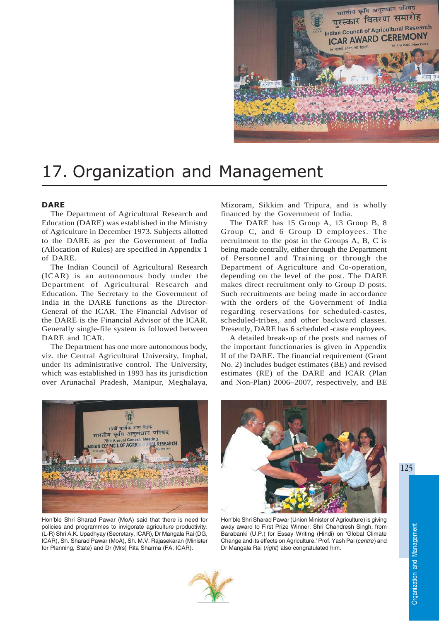

# 17. Organization and Management

## **DARE**

The Department of Agricultural Research and Education (DARE) was established in the Ministry of Agriculture in December 1973. Subjects allotted to the DARE as per the Government of India (Allocation of Rules) are specified in Appendix 1 of DARE.

The Indian Council of Agricultural Research (ICAR) is an autonomous body under the Department of Agricultural Research and Education. The Secretary to the Government of India in the DARE functions as the Director-General of the ICAR. The Financial Advisor of the DARE is the Financial Advisor of the ICAR. Generally single-file system is followed between DARE and ICAR.

The Department has one more autonomous body, viz. the Central Agricultural University, Imphal, under its administrative control. The University, which was established in 1993 has its jurisdiction over Arunachal Pradesh, Manipur, Meghalaya,

Mizoram, Sikkim and Tripura, and is wholly financed by the Government of India.

The DARE has 15 Group A, 13 Group B, 8 Group C, and 6 Group D employees. The recruitment to the post in the Groups A, B, C is being made centrally, either through the Department of Personnel and Training or through the Department of Agriculture and Co-operation, depending on the level of the post. The DARE makes direct recruitment only to Group D posts. Such recruitments are being made in accordance with the orders of the Government of India regarding reservations for scheduled-castes, scheduled-tribes, and other backward classes. Presently, DARE has 6 scheduled -caste employees.

A detailed break-up of the posts and names of the important functionaries is given in Appendix II of the DARE. The financial requirement (Grant No. 2) includes budget estimates (BE) and revised estimates (RE) of the DARE and ICAR (Plan and Non-Plan) 2006–2007, respectively, and BE



Hon'ble Shri Sharad Pawar (MoA) said that there is need for policies and programmes to invigorate agriculture productivity. (L-R) Shri A.K. Upadhyay (Secretary, ICAR), Dr Mangala Rai (DG, ICAR), Sh. Sharad Pawar (MoA), Sh. M.V. Rajasekaran (Minister for Planning, State) and Dr (Mrs) Rita Sharma (FA, ICAR).



Hon'ble Shri Sharad Pawar (Union Minister of Agriculture) is giving away award to First Prize Winner, Shri Chandresh Singh, from Barabanki (U.P.) for Essay Writing (Hindi) on 'Global Climate Change and its effects on Agriculture.' Prof. Yash Pal (*centre*) and Dr Mangala Rai (*right*) also congratulated him.

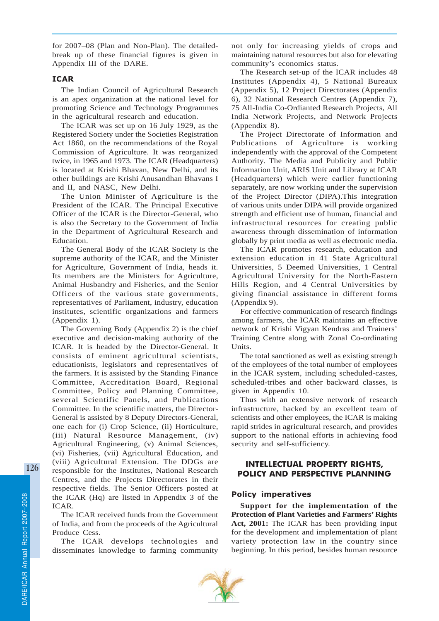for 2007–08 (Plan and Non-Plan). The detailedbreak up of these financial figures is given in Appendix III of the DARE.

## ICAR

The Indian Council of Agricultural Research is an apex organization at the national level for promoting Science and Technology Programmes in the agricultural research and education.

The ICAR was set up on 16 July 1929, as the Registered Society under the Societies Registration Act 1860, on the recommendations of the Royal Commission of Agriculture. It was reorganized twice, in 1965 and 1973. The ICAR (Headquarters) is located at Krishi Bhavan, New Delhi, and its other buildings are Krishi Anusandhan Bhavans I and II, and NASC, New Delhi.

The Union Minister of Agriculture is the President of the ICAR. The Principal Executive Officer of the ICAR is the Director-General, who is also the Secretary to the Government of India in the Department of Agricultural Research and Education.

The General Body of the ICAR Society is the supreme authority of the ICAR, and the Minister for Agriculture, Government of India, heads it. Its members are the Ministers for Agriculture, Animal Husbandry and Fisheries, and the Senior Officers of the various state governments, representatives of Parliament, industry, education institutes, scientific organizations and farmers (Appendix 1).

The Governing Body (Appendix 2) is the chief executive and decision-making authority of the ICAR. It is headed by the Director-General. It consists of eminent agricultural scientists, educationists, legislators and representatives of the farmers. It is assisted by the Standing Finance Committee, Accreditation Board, Regional Committee, Policy and Planning Committee, several Scientific Panels, and Publications Committee. In the scientific matters, the Director-General is assisted by 8 Deputy Directors-General, one each for (i) Crop Science, (ii) Horticulture, (iii) Natural Resource Management, (iv) Agricultural Engineering, (v) Animal Sciences, (vi) Fisheries, (vii) Agricultural Education, and (viii) Agricultural Extension. The DDGs are responsible for the Institutes, National Research Centres, and the Projects Directorates in their respective fields. The Senior Officers posted at the ICAR (Hq) are listed in Appendix 3 of the ICAR.

The ICAR received funds from the Government of India, and from the proceeds of the Agricultural Produce Cess.

The ICAR develops technologies and disseminates knowledge to farming community not only for increasing yields of crops and maintaining natural resources but also for elevating community's economics status.

The Research set-up of the ICAR includes 48 Institutes (Appendix 4), 5 National Bureaux (Appendix 5), 12 Project Directorates (Appendix 6), 32 National Research Centres (Appendix 7), 75 All-India Co-Ordianted Research Projects, All India Network Projects, and Network Projects (Appendix 8).

The Project Directorate of Information and Publications of Agriculture is working independently with the approval of the Competent Authority. The Media and Publicity and Public Information Unit, ARIS Unit and Library at ICAR (Headquarters) which were earlier functioning separately, are now working under the supervision of the Project Director (DIPA).This integration of various units under DIPA will provide organized strength and efficient use of human, financial and infrastructural resources for creating public awareness through dissemination of information globally by print media as well as electronic media.

The ICAR promotes research, education and extension education in 41 State Agricultural Universities, 5 Deemed Universities, 1 Central Agricultural University for the North-Eastern Hills Region, and 4 Central Universities by giving financial assistance in different forms (Appendix 9).

For effective communication of research findings among farmers, the ICAR maintains an effective network of Krishi Vigyan Kendras and Trainers' Training Centre along with Zonal Co-ordinating Units.

The total sanctioned as well as existing strength of the employees of the total number of employees in the ICAR system, including scheduled-castes, scheduled-tribes and other backward classes, is given in Appendix 10.

Thus with an extensive network of research infrastructure, backed by an excellent team of scientists and other employees, the ICAR is making rapid strides in agricultural research, and provides support to the national efforts in achieving food security and self-sufficiency.

# INTELLECTUAL PROPERTY RIGHTS, POLICY AND PERSPECTIVE PLANNING

# Policy imperatives

**Support for the implementation of the Protection of Plant Varieties and Farmers' Rights Act, 2001:** The ICAR has been providing input for the development and implementation of plant variety protection law in the country since beginning. In this period, besides human resource

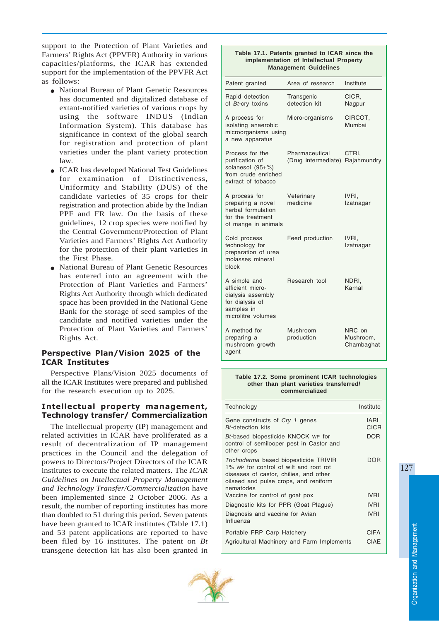support to the Protection of Plant Varieties and Farmers' Rights Act (PPVFR) Authority in various capacities/platforms, the ICAR has extended support for the implementation of the PPVFR Act as follows:

- National Bureau of Plant Genetic Resources has documented and digitalized database of extant-notified varieties of various crops by using the software INDUS (Indian Information System). This database has significance in context of the global search for registration and protection of plant varieties under the plant variety protection law.
- ICAR has developed National Test Guidelines for examination of Distinctiveness, Uniformity and Stability (DUS) of the candidate varieties of 35 crops for their registration and protection abide by the Indian PPF and FR law. On the basis of these guidelines, 12 crop species were notified by the Central Government/Protection of Plant Varieties and Farmers' Rights Act Authority for the protection of their plant varieties in the First Phase.
- National Bureau of Plant Genetic Resources has entered into an agreement with the Protection of Plant Varieties and Farmers' Rights Act Authority through which dedicated space has been provided in the National Gene Bank for the storage of seed samples of the candidate and notified varieties under the Protection of Plant Varieties and Farmers' Rights Act.

## Perspective Plan/Vision 2025 of the ICAR Institutes

Perspective Plans/Vision 2025 documents of all the ICAR Institutes were prepared and published for the research execution up to 2025.

## Intellectual property management, Technology transfer/ Commercialization

The intellectual property (IP) management and related activities in ICAR have proliferated as a result of decentralization of IP management practices in the Council and the delegation of powers to Directors/Project Directors of the ICAR institutes to execute the related matters. The *ICAR Guidelines on Intellectual Property Management and Technology Transfer/Commercialization* have been implemented since 2 October 2006. As a result, the number of reporting institutes has more than doubled to 51 during this period. Seven patents have been granted to ICAR institutes (Table 17.1) and 53 patent applications are reported to have been filed by 16 institutes. The patent on *Bt* transgene detection kit has also been granted in

#### **Table 17.1. Patents granted to ICAR since the implementation of Intellectual Property Management Guidelines**

| Patent granted                                                                                               | Area of research                                  | Institute                         |
|--------------------------------------------------------------------------------------------------------------|---------------------------------------------------|-----------------------------------|
| Rapid detection<br>of Bt-cry toxins                                                                          | Transgenic<br>detection kit                       | CICR,<br>Nagpur                   |
| A process for<br>isolating anaerobic<br>microorganisms using<br>a new apparatus                              | Micro-organisms                                   | CIRCOT,<br>Mumbai                 |
| Process for the<br>purification of<br>solanesol (95+%)<br>from crude enriched<br>extract of tobacco          | Pharmaceutical<br>(Drug intermediate) Rajahmundry | CTRI.                             |
| A process for<br>preparing a novel<br>herbal formulation<br>for the treatment<br>of mange in animals         | Veterinary<br>medicine                            | IVRI.<br>Izatnagar                |
| Cold process<br>technology for<br>preparation of urea<br>molasses mineral<br>block                           | Feed production                                   | IVRI.<br>Izatnagar                |
| A simple and<br>efficient micro-<br>dialysis assembly<br>for dialysis of<br>samples in<br>microlitre volumes | Research tool                                     | NDRI,<br>Karnal                   |
| A method for<br>preparing a<br>mushroom growth<br>agent                                                      | Mushroom<br>production                            | NRC on<br>Mushroom,<br>Chambaghat |

#### **Table 17.2. Some prominent ICAR technologies other than plant varieties transferred/ commercialized**

| Technology                                                                                                                                                                      | Institute                  |
|---------------------------------------------------------------------------------------------------------------------------------------------------------------------------------|----------------------------|
| Gene constructs of Cry 1 genes<br><b>Bt-detection kits</b>                                                                                                                      | <b>IARI</b><br><b>CICR</b> |
| Bt-based biopesticide KNOCK wp for<br>control of semilooper pest in Castor and<br>other crops                                                                                   | <b>DOR</b>                 |
| Trichoderma based biopesticide TRIVIR<br>1% we for control of wilt and root rot<br>diseases of castor, chilies, and other<br>oilseed and pulse crops, and reniform<br>nematodes | DOR                        |
| Vaccine for control of goat pox                                                                                                                                                 | <b>IVRI</b>                |
| Diagnostic kits for PPR (Goat Plague)                                                                                                                                           | <b>IVRI</b>                |
| Diagnosis and vaccine for Avian<br>Influenza                                                                                                                                    | <b>IVRI</b>                |
| Portable FRP Carp Hatchery                                                                                                                                                      | <b>CIFA</b>                |
| Agricultural Machinery and Farm Implements                                                                                                                                      | CIAE                       |



127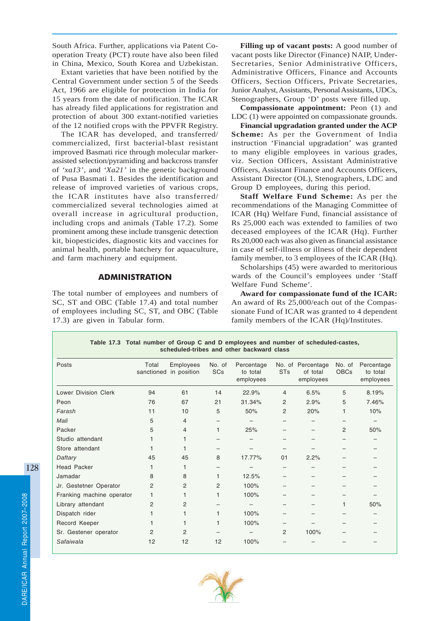South Africa. Further, applications via Patent Cooperation Treaty (PCT) route have also been filed in China, Mexico, South Korea and Uzbekistan.

Extant varieties that have been notified by the Central Government under section 5 of the Seeds Act, 1966 are eligible for protection in India for 15 years from the date of notification. The ICAR has already filed applications for registration and protection of about 300 extant-notified varieties of the 12 notified crops with the PPVFR Registry.

The ICAR has developed, and transferred/ commercialized, first bacterial-blast resistant improved Basmati rice through molecular markerassisted selection/pyramiding and backcross transfer of *'xa13'*, and *'Xa21'* in the genetic background of Pusa Basmati 1. Besides the identification and release of improved varieties of various crops, the ICAR institutes have also transferred/ commercialized several technologies aimed at overall increase in agricultural production, including crops and animals (Table 17.2). Some prominent among these include transgenic detection kit, biopesticides, diagnostic kits and vaccines for animal health, portable hatchery for aquaculture, and farm machinery and equipment.

# ADMINISTRATION

The total number of employees and numbers of SC, ST and OBC (Table 17.4) and total number of employees including SC, ST, and OBC (Table 17.3) are given in Tabular form.

**Filling up of vacant posts:** A good number of vacant posts like Director (Finance) NAIP, Under-Secretaries, Senior Administrative Officers, Administrative Officers, Finance and Accounts Officers, Section Officers, Private Secretaries, Junior Analyst, Assistants, Personal Assistants, UDCs, Stenographers, Group 'D' posts were filled up.

**Compassionate appointment:** Peon (1) and LDC (1) were appointed on compassionate grounds.

**Financial upgradation granted under the ACP Scheme:** As per the Government of India instruction 'Financial upgradation' was granted to many eligible employees in various grades, viz. Section Officers, Assistant Administrative Officers, Assistant Finance and Accounts Officers, Assistant Director (OL), Stenographers, LDC and Group D employees, during this period.

**Staff Welfare Fund Scheme:** As per the recommendations of the Managing Committee of ICAR (Hq) Welfare Fund, financial assistance of Rs 25,000 each was extended to families of two deceased employees of the ICAR (Hq). Further Rs 20,000 each was also given as financial assistance in case of self-illness or illness of their dependent family member, to 3 employees of the ICAR (Hq).

Scholarships (45) were awarded to meritorious wards of the Council's employees under 'Staff Welfare Fund Scheme'.

**Award for compassionate fund of the ICAR:** An award of Rs 25,000/each out of the Compassionate Fund of ICAR was granted to 4 dependent family members of the ICAR (Hq)/Institutes.

| Table 17.3 Total number of Group C and D employees and number of scheduled-castes,<br>scheduled-tribes and other backward class |                     |                          |                |                                     |                       |                                            |                       |                                     |
|---------------------------------------------------------------------------------------------------------------------------------|---------------------|--------------------------|----------------|-------------------------------------|-----------------------|--------------------------------------------|-----------------------|-------------------------------------|
| Posts                                                                                                                           | Total<br>sanctioned | Employees<br>in position | No. of<br>SCs  | Percentage<br>to total<br>employees | <b>ST<sub>s</sub></b> | No. of Percentage<br>of total<br>employees | No. of<br><b>OBCs</b> | Percentage<br>to total<br>employees |
| <b>Lower Division Clerk</b>                                                                                                     | 94                  | 61                       | 14             | 22.9%                               | 4                     | 6.5%                                       | 5                     | 8.19%                               |
| Peon                                                                                                                            | 76                  | 67                       | 21             | 31.34%                              | 2                     | 2.9%                                       | 5                     | 7.46%                               |
| Farash                                                                                                                          | 11                  | 10                       | 5              | 50%                                 | 2                     | 20%                                        | 1                     | 10%                                 |
| Mali                                                                                                                            | 5                   | 4                        |                |                                     |                       |                                            |                       |                                     |
| Packer                                                                                                                          | 5                   | 4                        | 1              | 25%                                 |                       |                                            | $\overline{2}$        | 50%                                 |
| Studio attendant                                                                                                                |                     |                          |                |                                     |                       |                                            |                       |                                     |
| Store attendant                                                                                                                 |                     |                          |                |                                     |                       |                                            |                       |                                     |
| Daftary                                                                                                                         | 45                  | 45                       | 8              | 17.77%                              | 01                    | 2.2%                                       |                       |                                     |
| <b>Head Packer</b>                                                                                                              |                     |                          |                |                                     |                       |                                            |                       |                                     |
| Jamadar                                                                                                                         | 8                   | 8                        | 1              | 12.5%                               |                       |                                            |                       |                                     |
| Jr. Gestetner Operator                                                                                                          | 2                   | 2                        | $\overline{c}$ | 100%                                |                       |                                            |                       |                                     |
| Franking machine operator                                                                                                       |                     |                          | 1              | 100%                                |                       |                                            |                       |                                     |
| Library attendant                                                                                                               | $\overline{2}$      | $\overline{c}$           |                |                                     |                       |                                            | 1                     | 50%                                 |
| Dispatch rider                                                                                                                  |                     |                          | 1              | 100%                                |                       |                                            |                       |                                     |
| Record Keeper                                                                                                                   |                     |                          | 1              | 100%                                |                       |                                            |                       |                                     |
| Sr. Gestener operator                                                                                                           | 2                   | 2                        |                |                                     | 2                     | 100%                                       |                       |                                     |
| Safaiwala                                                                                                                       | 12                  | 12                       | 12             | 100%                                |                       |                                            |                       |                                     |

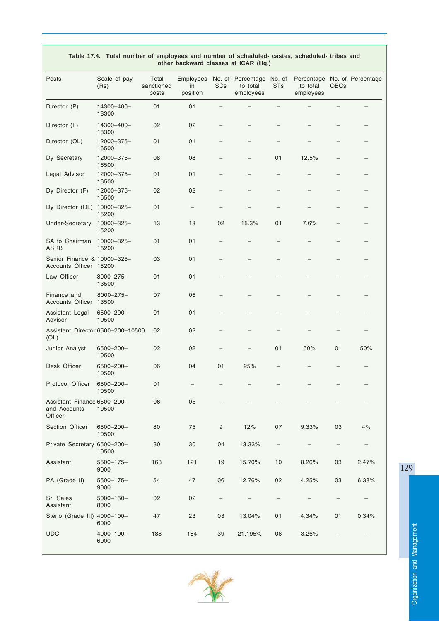| other backward classes at ICAR (Hq.)                   |                         |                              |                             |            |                                                   |                          |                                                       |             |       |
|--------------------------------------------------------|-------------------------|------------------------------|-----------------------------|------------|---------------------------------------------------|--------------------------|-------------------------------------------------------|-------------|-------|
| Posts                                                  | Scale of pay<br>(Rs)    | Total<br>sanctioned<br>posts | Employees<br>in<br>position | <b>SCs</b> | No. of Percentage No. of<br>to total<br>employees | <b>STs</b>               | Percentage No. of Percentage<br>to total<br>employees | <b>OBCs</b> |       |
| Director (P)                                           | 14300-400-<br>18300     | 01                           | 01                          |            |                                                   |                          |                                                       |             |       |
| Director (F)                                           | 14300-400-<br>18300     | 02                           | 02                          |            |                                                   |                          |                                                       |             |       |
| Director (OL)                                          | 12000-375-<br>16500     | 01                           | 01                          |            |                                                   |                          |                                                       |             |       |
| Dy Secretary                                           | 12000-375-<br>16500     | 08                           | 08                          |            |                                                   | 01                       | 12.5%                                                 |             |       |
| Legal Advisor                                          | 12000-375-<br>16500     | 01                           | 01                          |            |                                                   |                          |                                                       |             |       |
| Dy Director (F)                                        | 12000-375-<br>16500     | 02                           | 02                          |            |                                                   |                          |                                                       |             |       |
| Dy Director (OL)                                       | 10000-325-<br>15200     | 01                           | —                           |            |                                                   |                          |                                                       |             |       |
| Under-Secretary                                        | 10000-325-<br>15200     | 13                           | 13                          | 02         | 15.3%                                             | 01                       | 7.6%                                                  |             |       |
| SA to Chairman, 10000-325-<br><b>ASRB</b>              | 15200                   | 01                           | 01                          |            |                                                   |                          |                                                       |             |       |
| Senior Finance & 10000-325-<br>Accounts Officer 15200  |                         | 03                           | 01                          |            |                                                   |                          |                                                       |             |       |
| Law Officer                                            | $8000 - 275 -$<br>13500 | 01                           | 01                          |            |                                                   |                          |                                                       |             |       |
| Finance and<br><b>Accounts Officer</b>                 | $8000 - 275 -$<br>13500 | 07                           | 06                          |            |                                                   |                          |                                                       |             |       |
| Assistant Legal<br>Advisor                             | 6500-200-<br>10500      | 01                           | 01                          |            |                                                   |                          |                                                       |             |       |
| Assistant Director 6500-200-10500<br>(OL)              |                         | 02                           | 02                          |            |                                                   |                          |                                                       |             |       |
| Junior Analyst                                         | 6500-200-<br>10500      | 02                           | 02                          |            |                                                   | 01                       | 50%                                                   | 01          | 50%   |
| Desk Officer                                           | 6500-200-<br>10500      | 06                           | 04                          | 01         | 25%                                               |                          |                                                       |             |       |
| Protocol Officer                                       | 6500-200-<br>10500      | 01                           |                             |            |                                                   |                          |                                                       |             |       |
| Assistant Finance 6500-200-<br>and Accounts<br>Officer | 10500                   | 06                           | 05                          |            |                                                   |                          |                                                       |             |       |
| Section Officer                                        | 6500-200-<br>10500      | 80                           | 75                          | 9          | 12%                                               | 07                       | 9.33%                                                 | 03          | 4%    |
| Private Secretary 6500-200-                            | 10500                   | 30                           | 30                          | 04         | 13.33%                                            |                          |                                                       |             |       |
| Assistant                                              | $5500 - 175 -$<br>9000  | 163                          | 121                         | 19         | 15.70%                                            | 10                       | 8.26%                                                 | 03          | 2.47% |
| PA (Grade II)                                          | $5500 - 175 -$<br>9000  | 54                           | 47                          | 06         | 12.76%                                            | 02                       | 4.25%                                                 | 03          | 6.38% |
| Sr. Sales<br>Assistant                                 | $5000 - 150 -$<br>8000  | 02                           | 02                          |            |                                                   | $\overline{\phantom{m}}$ |                                                       |             |       |
| Steno (Grade III) 4000-100-                            | 6000                    | 47                           | 23                          | 03         | 13.04%                                            | 01                       | 4.34%                                                 | 01          | 0.34% |
| <b>UDC</b>                                             | $4000 - 100 -$<br>6000  | 188                          | 184                         | 39         | 21.195%                                           | 06                       | 3.26%                                                 |             |       |

#### **Table 17.4. Total number of employees and number of scheduled- castes, scheduled- tribes and other backward classes at ICAR (Hq.)**



129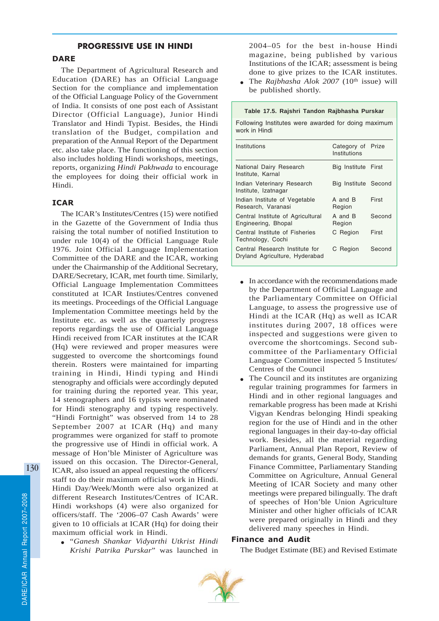# PROGRESSIVE USE IN HINDI

## **DARE**

The Department of Agricultural Research and Education (DARE) has an Official Language Section for the compliance and implementation of the Official Language Policy of the Government of India. It consists of one post each of Assistant Director (Official Language), Junior Hindi Translator and Hindi Typist. Besides, the Hindi translation of the Budget, compilation and preparation of the Annual Report of the Department etc. also take place. The functioning of this section also includes holding Hindi workshops, meetings, reports, organizing *Hindi Pakhwada* to encourage the employees for doing their official work in Hindi.

## ICAR

The ICAR's Institutes/Centres (15) were notified in the Gazette of the Government of India thus raising the total number of notified Institution to under rule 10(4) of the Official Language Rule 1976. Joint Official Language Implementation Committee of the DARE and the ICAR, working under the Chairmanship of the Additional Secretary, DARE/Secretary, ICAR, met fourth time. Similarly, Official Language Implementation Committees constituted at ICAR Instiutes/Centres convened its meetings. Proceedings of the Official Language Implementation Committee meetings held by the Institute etc. as well as the quarterly progress reports regardings the use of Official Language Hindi received from ICAR institutes at the ICAR (Hq) were reviewed and proper measures were suggested to overcome the shortcomings found therein. Rosters were maintained for imparting training in Hindi, Hindi typing and Hindi stenography and officials were accordingly deputed for training during the reported year. This year, 14 stenographers and 16 typists were nominated for Hindi stenography and typing respectively. "Hindi Fortnight" was observed from 14 to 28 September 2007 at ICAR (Hq) and many programmes were organized for staff to promote the progressive use of Hindi in official work. A message of Hon'ble Minister of Agriculture was issued on this occasion. The Director-General, ICAR, also issued an appeal requesting the officers/ staff to do their maximum official work in Hindi. Hindi Day/Week/Month were also organized at different Research Institutes/Centres of ICAR. Hindi workshops (4) were also organized for officers/staff. The '2006–07 Cash Awards' were given to 10 officials at ICAR (Hq) for doing their maximum official work in Hindi.

● "*Ganesh Shankar Vidyarthi Utkrist Hindi Krishi Patrika Purskar*" was launched in 2004–05 for the best in-house Hindi magazine, being published by various Institutions of the ICAR; assessment is being done to give prizes to the ICAR institutes.

• The *Rajbhasha Alok 2007* (10<sup>th</sup> issue) will be published shortly.

#### **Table 17.5. Rajshri Tandon Rajbhasha Purskar**

Following Institutes were awarded for doing maximum work in Hindi

| Institutions                                                     | Category of Prize<br>Institutions |        |
|------------------------------------------------------------------|-----------------------------------|--------|
| National Dairy Research<br>Institute, Karnal                     | Big Institute First               |        |
| Indian Veterinary Research<br>Institute, Izatnagar               | Big Institute Second              |        |
| Indian Institute of Vegetable<br>Research, Varanasi              | A and B<br>Region                 | First  |
| Central Institute of Agricultural<br>Engineering, Bhopal         | A and B<br>Region                 | Second |
| Central Institute of Fisheries<br>Technology, Cochi              | C Region                          | First  |
| Central Research Institute for<br>Dryland Agriculture, Hyderabad | C Region                          | Second |
|                                                                  |                                   |        |

- In accordance with the recommendations made by the Department of Official Language and the Parliamentary Committee on Official Language, to assess the progressive use of Hindi at the ICAR (Hq) as well as ICAR institutes during 2007, 18 offices were inspected and suggestions were given to overcome the shortcomings. Second subcommittee of the Parliamentary Official Language Committee inspected 5 Institutes/ Centres of the Council
- The Council and its institutes are organizing regular training programmes for farmers in Hindi and in other regional languages and remarkable progress has been made at Krishi Vigyan Kendras belonging Hindi speaking region for the use of Hindi and in the other regional languages in their day-to-day official work. Besides, all the material regarding Parliament, Annual Plan Report, Review of demands for grants, General Body, Standing Finance Committee, Parliamentary Standing Committee on Agriculture, Annual General Meeting of ICAR Society and many other meetings were prepared bilingually. The draft of speeches of Hon'ble Union Agriculture Minister and other higher officials of ICAR were prepared originally in Hindi and they delivered many speeches in Hindi.

## Finance and Audit

The Budget Estimate (BE) and Revised Estimate